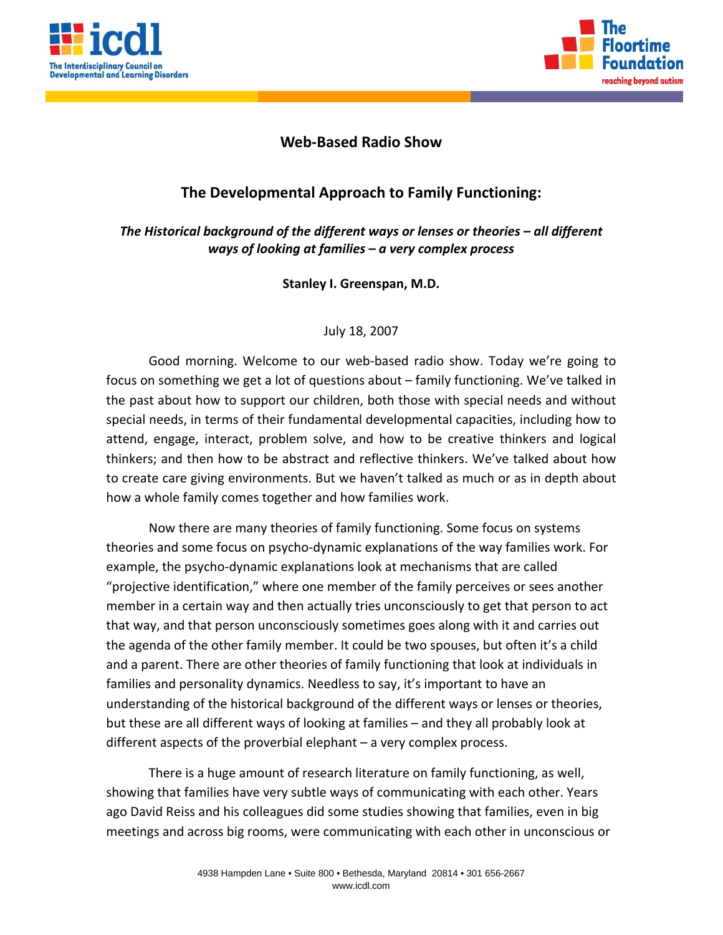



## **Web‐Based Radio Show**

## **The Developmental Approach to Family Functioning:**

*The Historical background of the different ways or lenses or theories – all different ways of looking at families – a very complex process*

**Stanley I. Greenspan, M.D.**

## July 18, 2007

Good morning. Welcome to our web‐based radio show. Today we're going to focus on something we get a lot of questions about – family functioning. We've talked in the past about how to support our children, both those with special needs and without special needs, in terms of their fundamental developmental capacities, including how to attend, engage, interact, problem solve, and how to be creative thinkers and logical thinkers; and then how to be abstract and reflective thinkers. We've talked about how to create care giving environments. But we haven't talked as much or as in depth about how a whole family comes together and how families work.

Now there are many theories of family functioning. Some focus on systems theories and some focus on psycho‐dynamic explanations of the way families work. For example, the psycho‐dynamic explanations look at mechanisms that are called "projective identification," where one member of the family perceives or sees another member in a certain way and then actually tries unconsciously to get that person to act that way, and that person unconsciously sometimes goes along with it and carries out the agenda of the other family member. It could be two spouses, but often it's a child and a parent. There are other theories of family functioning that look at individuals in families and personality dynamics. Needless to say, it's important to have an understanding of the historical background of the different ways or lenses or theories, but these are all different ways of looking at families – and they all probably look at different aspects of the proverbial elephant – a very complex process.

There is a huge amount of research literature on family functioning, as well, showing that families have very subtle ways of communicating with each other. Years ago David Reiss and his colleagues did some studies showing that families, even in big meetings and across big rooms, were communicating with each other in unconscious or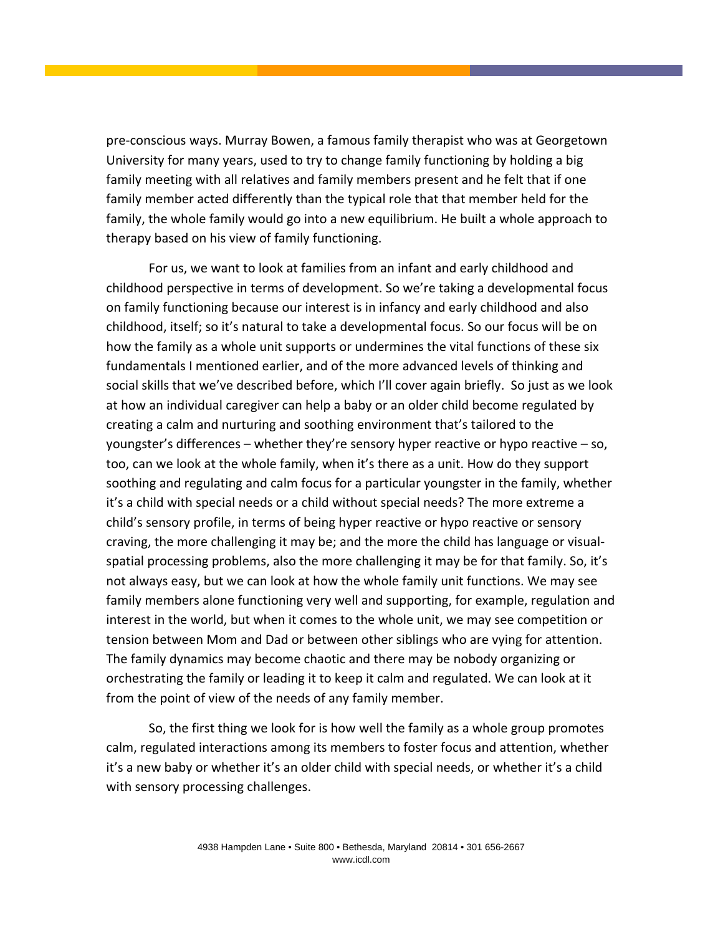pre‐conscious ways. Murray Bowen, a famous family therapist who was at Georgetown University for many years, used to try to change family functioning by holding a big family meeting with all relatives and family members present and he felt that if one family member acted differently than the typical role that that member held for the family, the whole family would go into a new equilibrium. He built a whole approach to therapy based on his view of family functioning.

For us, we want to look at families from an infant and early childhood and childhood perspective in terms of development. So we're taking a developmental focus on family functioning because our interest is in infancy and early childhood and also childhood, itself; so it's natural to take a developmental focus. So our focus will be on how the family as a whole unit supports or undermines the vital functions of these six fundamentals I mentioned earlier, and of the more advanced levels of thinking and social skills that we've described before, which I'll cover again briefly. So just as we look at how an individual caregiver can help a baby or an older child become regulated by creating a calm and nurturing and soothing environment that's tailored to the youngster's differences – whether they're sensory hyper reactive or hypo reactive – so, too, can we look at the whole family, when it's there as a unit. How do they support soothing and regulating and calm focus for a particular youngster in the family, whether it's a child with special needs or a child without special needs? The more extreme a child's sensory profile, in terms of being hyper reactive or hypo reactive or sensory craving, the more challenging it may be; and the more the child has language or visual‐ spatial processing problems, also the more challenging it may be for that family. So, it's not always easy, but we can look at how the whole family unit functions. We may see family members alone functioning very well and supporting, for example, regulation and interest in the world, but when it comes to the whole unit, we may see competition or tension between Mom and Dad or between other siblings who are vying for attention. The family dynamics may become chaotic and there may be nobody organizing or orchestrating the family or leading it to keep it calm and regulated. We can look at it from the point of view of the needs of any family member.

So, the first thing we look for is how well the family as a whole group promotes calm, regulated interactions among its members to foster focus and attention, whether it's a new baby or whether it's an older child with special needs, or whether it's a child with sensory processing challenges.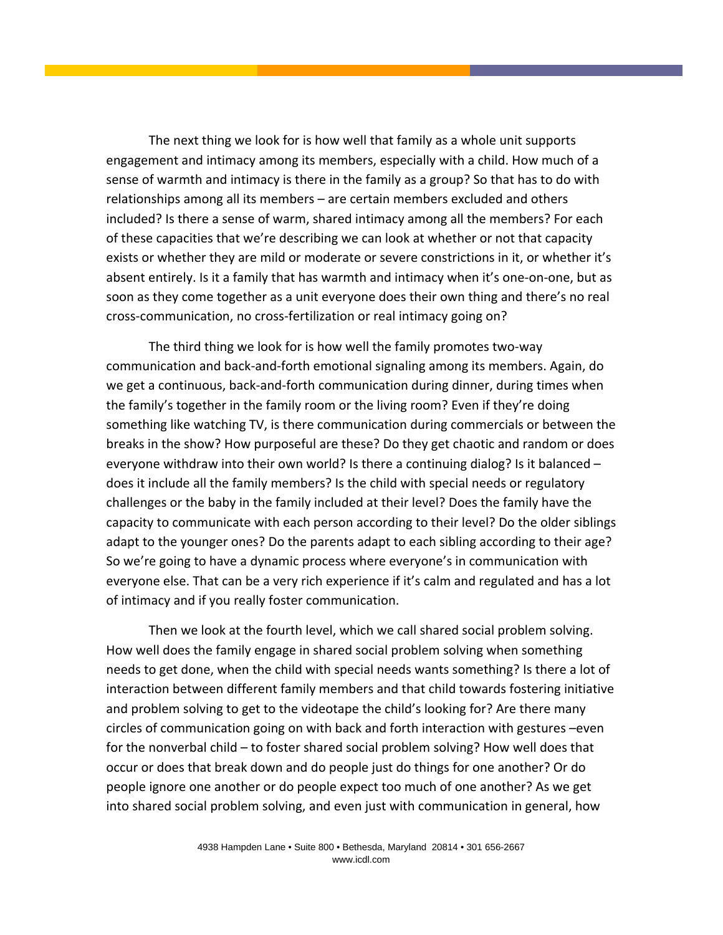The next thing we look for is how well that family as a whole unit supports engagement and intimacy among its members, especially with a child. How much of a sense of warmth and intimacy is there in the family as a group? So that has to do with relationships among all its members – are certain members excluded and others included? Is there a sense of warm, shared intimacy among all the members? For each of these capacities that we're describing we can look at whether or not that capacity exists or whether they are mild or moderate or severe constrictions in it, or whether it's absent entirely. Is it a family that has warmth and intimacy when it's one‐on‐one, but as soon as they come together as a unit everyone does their own thing and there's no real cross‐communication, no cross‐fertilization or real intimacy going on?

The third thing we look for is how well the family promotes two‐way communication and back‐and‐forth emotional signaling among its members. Again, do we get a continuous, back-and-forth communication during dinner, during times when the family's together in the family room or the living room? Even if they're doing something like watching TV, is there communication during commercials or between the breaks in the show? How purposeful are these? Do they get chaotic and random or does everyone withdraw into their own world? Is there a continuing dialog? Is it balanced – does it include all the family members? Is the child with special needs or regulatory challenges or the baby in the family included at their level? Does the family have the capacity to communicate with each person according to their level? Do the older siblings adapt to the younger ones? Do the parents adapt to each sibling according to their age? So we're going to have a dynamic process where everyone's in communication with everyone else. That can be a very rich experience if it's calm and regulated and has a lot of intimacy and if you really foster communication.

Then we look at the fourth level, which we call shared social problem solving. How well does the family engage in shared social problem solving when something needs to get done, when the child with special needs wants something? Is there a lot of interaction between different family members and that child towards fostering initiative and problem solving to get to the videotape the child's looking for? Are there many circles of communication going on with back and forth interaction with gestures –even for the nonverbal child – to foster shared social problem solving? How well does that occur or does that break down and do people just do things for one another? Or do people ignore one another or do people expect too much of one another? As we get into shared social problem solving, and even just with communication in general, how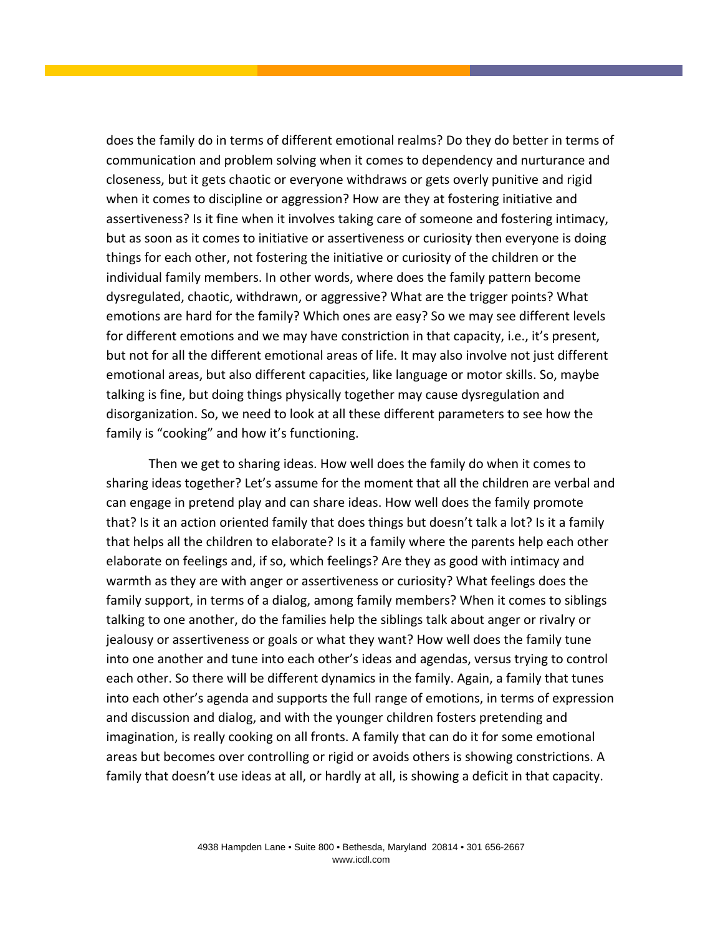does the family do in terms of different emotional realms? Do they do better in terms of communication and problem solving when it comes to dependency and nurturance and closeness, but it gets chaotic or everyone withdraws or gets overly punitive and rigid when it comes to discipline or aggression? How are they at fostering initiative and assertiveness? Is it fine when it involves taking care of someone and fostering intimacy, but as soon as it comes to initiative or assertiveness or curiosity then everyone is doing things for each other, not fostering the initiative or curiosity of the children or the individual family members. In other words, where does the family pattern become dysregulated, chaotic, withdrawn, or aggressive? What are the trigger points? What emotions are hard for the family? Which ones are easy? So we may see different levels for different emotions and we may have constriction in that capacity, i.e., it's present, but not for all the different emotional areas of life. It may also involve not just different emotional areas, but also different capacities, like language or motor skills. So, maybe talking is fine, but doing things physically together may cause dysregulation and disorganization. So, we need to look at all these different parameters to see how the family is "cooking" and how it's functioning.

Then we get to sharing ideas. How well does the family do when it comes to sharing ideas together? Let's assume for the moment that all the children are verbal and can engage in pretend play and can share ideas. How well does the family promote that? Is it an action oriented family that does things but doesn't talk a lot? Is it a family that helps all the children to elaborate? Is it a family where the parents help each other elaborate on feelings and, if so, which feelings? Are they as good with intimacy and warmth as they are with anger or assertiveness or curiosity? What feelings does the family support, in terms of a dialog, among family members? When it comes to siblings talking to one another, do the families help the siblings talk about anger or rivalry or jealousy or assertiveness or goals or what they want? How well does the family tune into one another and tune into each other's ideas and agendas, versus trying to control each other. So there will be different dynamics in the family. Again, a family that tunes into each other's agenda and supports the full range of emotions, in terms of expression and discussion and dialog, and with the younger children fosters pretending and imagination, is really cooking on all fronts. A family that can do it for some emotional areas but becomes over controlling or rigid or avoids others is showing constrictions. A family that doesn't use ideas at all, or hardly at all, is showing a deficit in that capacity.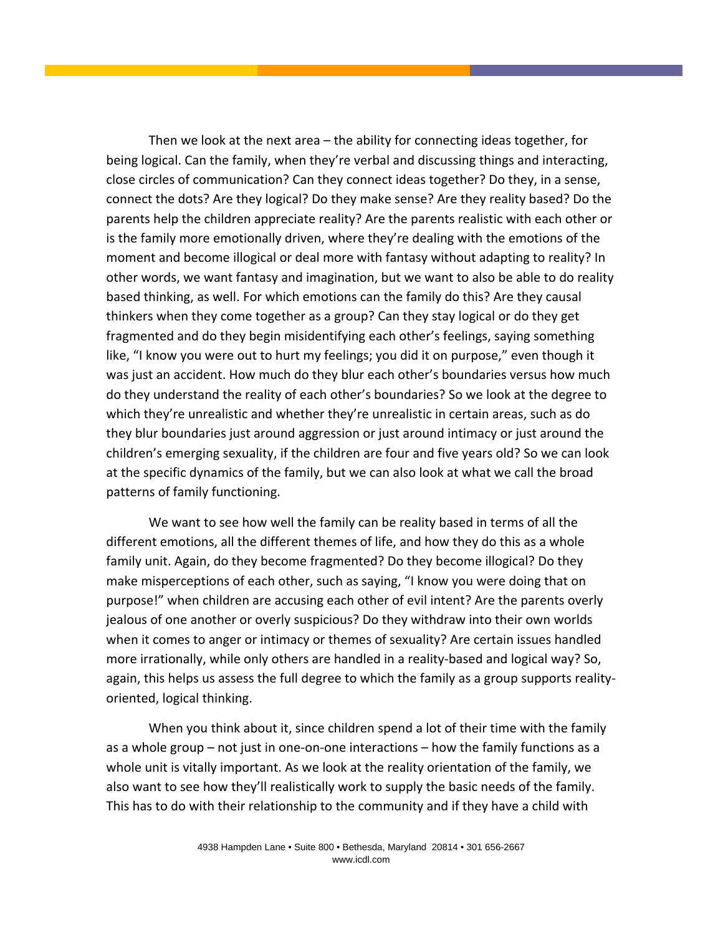Then we look at the next area – the ability for connecting ideas together, for being logical. Can the family, when they're verbal and discussing things and interacting, close circles of communication? Can they connect ideas together? Do they, in a sense, connect the dots? Are they logical? Do they make sense? Are they reality based? Do the parents help the children appreciate reality? Are the parents realistic with each other or is the family more emotionally driven, where they're dealing with the emotions of the moment and become illogical or deal more with fantasy without adapting to reality? In other words, we want fantasy and imagination, but we want to also be able to do reality based thinking, as well. For which emotions can the family do this? Are they causal thinkers when they come together as a group? Can they stay logical or do they get fragmented and do they begin misidentifying each other's feelings, saying something like, "I know you were out to hurt my feelings; you did it on purpose," even though it was just an accident. How much do they blur each other's boundaries versus how much do they understand the reality of each other's boundaries? So we look at the degree to which they're unrealistic and whether they're unrealistic in certain areas, such as do they blur boundaries just around aggression or just around intimacy or just around the children's emerging sexuality, if the children are four and five years old? So we can look at the specific dynamics of the family, but we can also look at what we call the broad patterns of family functioning.

We want to see how well the family can be reality based in terms of all the different emotions, all the different themes of life, and how they do this as a whole family unit. Again, do they become fragmented? Do they become illogical? Do they make misperceptions of each other, such as saying, "I know you were doing that on purpose!" when children are accusing each other of evil intent? Are the parents overly jealous of one another or overly suspicious? Do they withdraw into their own worlds when it comes to anger or intimacy or themes of sexuality? Are certain issues handled more irrationally, while only others are handled in a reality‐based and logical way? So, again, this helps us assess the full degree to which the family as a group supports reality‐ oriented, logical thinking.

When you think about it, since children spend a lot of their time with the family as a whole group – not just in one‐on‐one interactions – how the family functions as a whole unit is vitally important. As we look at the reality orientation of the family, we also want to see how they'll realistically work to supply the basic needs of the family. This has to do with their relationship to the community and if they have a child with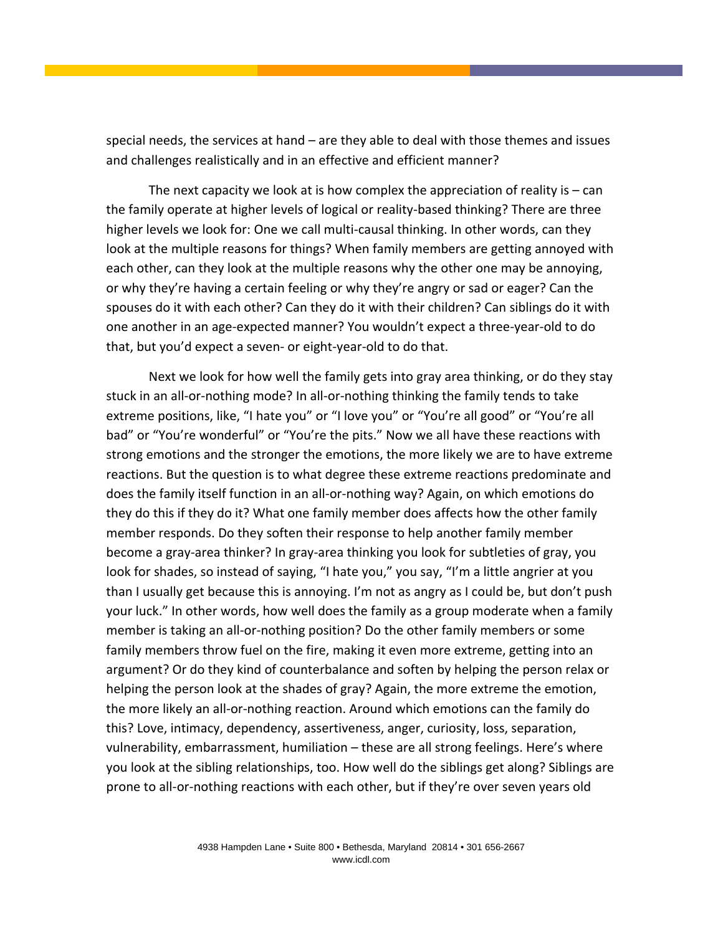special needs, the services at hand – are they able to deal with those themes and issues and challenges realistically and in an effective and efficient manner?

The next capacity we look at is how complex the appreciation of reality is  $-$  can the family operate at higher levels of logical or reality‐based thinking? There are three higher levels we look for: One we call multi-causal thinking. In other words, can they look at the multiple reasons for things? When family members are getting annoyed with each other, can they look at the multiple reasons why the other one may be annoying, or why they're having a certain feeling or why they're angry or sad or eager? Can the spouses do it with each other? Can they do it with their children? Can siblings do it with one another in an age‐expected manner? You wouldn't expect a three‐year‐old to do that, but you'd expect a seven‐ or eight‐year‐old to do that.

Next we look for how well the family gets into gray area thinking, or do they stay stuck in an all‐or‐nothing mode? In all‐or‐nothing thinking the family tends to take extreme positions, like, "I hate you" or "I love you" or "You're all good" or "You're all bad" or "You're wonderful" or "You're the pits." Now we all have these reactions with strong emotions and the stronger the emotions, the more likely we are to have extreme reactions. But the question is to what degree these extreme reactions predominate and does the family itself function in an all‐or‐nothing way? Again, on which emotions do they do this if they do it? What one family member does affects how the other family member responds. Do they soften their response to help another family member become a gray-area thinker? In gray-area thinking you look for subtleties of gray, you look for shades, so instead of saying, "I hate you," you say, "I'm a little angrier at you than I usually get because this is annoying. I'm not as angry as I could be, but don't push your luck." In other words, how well does the family as a group moderate when a family member is taking an all-or-nothing position? Do the other family members or some family members throw fuel on the fire, making it even more extreme, getting into an argument? Or do they kind of counterbalance and soften by helping the person relax or helping the person look at the shades of gray? Again, the more extreme the emotion, the more likely an all‐or‐nothing reaction. Around which emotions can the family do this? Love, intimacy, dependency, assertiveness, anger, curiosity, loss, separation, vulnerability, embarrassment, humiliation – these are all strong feelings. Here's where you look at the sibling relationships, too. How well do the siblings get along? Siblings are prone to all‐or‐nothing reactions with each other, but if they're over seven years old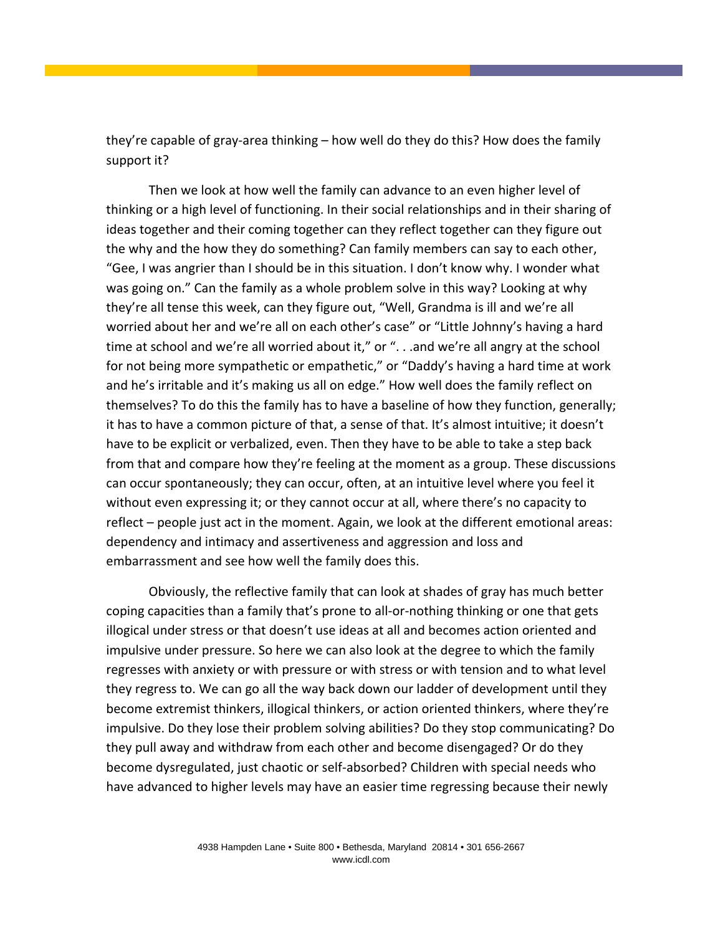they're capable of gray‐area thinking – how well do they do this? How does the family support it?

Then we look at how well the family can advance to an even higher level of thinking or a high level of functioning. In their social relationships and in their sharing of ideas together and their coming together can they reflect together can they figure out the why and the how they do something? Can family members can say to each other, "Gee, I was angrier than I should be in this situation. I don't know why. I wonder what was going on." Can the family as a whole problem solve in this way? Looking at why they're all tense this week, can they figure out, "Well, Grandma is ill and we're all worried about her and we're all on each other's case" or "Little Johnny's having a hard time at school and we're all worried about it," or "...and we're all angry at the school for not being more sympathetic or empathetic," or "Daddy's having a hard time at work and he's irritable and it's making us all on edge." How well does the family reflect on themselves? To do this the family has to have a baseline of how they function, generally; it has to have a common picture of that, a sense of that. It's almost intuitive; it doesn't have to be explicit or verbalized, even. Then they have to be able to take a step back from that and compare how they're feeling at the moment as a group. These discussions can occur spontaneously; they can occur, often, at an intuitive level where you feel it without even expressing it; or they cannot occur at all, where there's no capacity to reflect – people just act in the moment. Again, we look at the different emotional areas: dependency and intimacy and assertiveness and aggression and loss and embarrassment and see how well the family does this.

Obviously, the reflective family that can look at shades of gray has much better coping capacities than a family that's prone to all‐or‐nothing thinking or one that gets illogical under stress or that doesn't use ideas at all and becomes action oriented and impulsive under pressure. So here we can also look at the degree to which the family regresses with anxiety or with pressure or with stress or with tension and to what level they regress to. We can go all the way back down our ladder of development until they become extremist thinkers, illogical thinkers, or action oriented thinkers, where they're impulsive. Do they lose their problem solving abilities? Do they stop communicating? Do they pull away and withdraw from each other and become disengaged? Or do they become dysregulated, just chaotic or self‐absorbed? Children with special needs who have advanced to higher levels may have an easier time regressing because their newly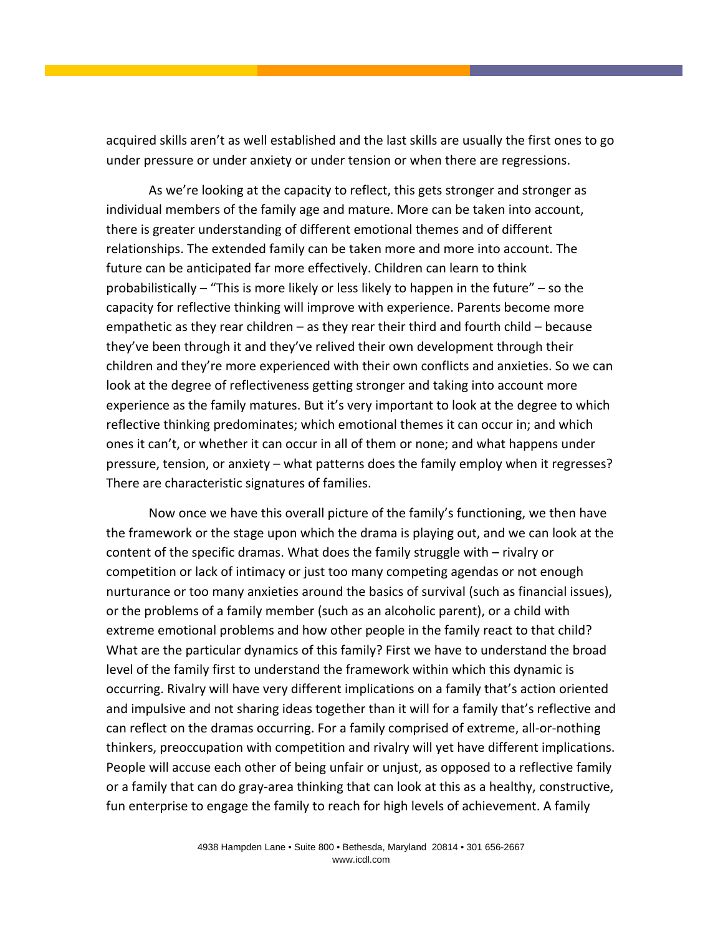acquired skills aren't as well established and the last skills are usually the first ones to go under pressure or under anxiety or under tension or when there are regressions.

As we're looking at the capacity to reflect, this gets stronger and stronger as individual members of the family age and mature. More can be taken into account, there is greater understanding of different emotional themes and of different relationships. The extended family can be taken more and more into account. The future can be anticipated far more effectively. Children can learn to think probabilistically – "This is more likely or less likely to happen in the future" – so the capacity for reflective thinking will improve with experience. Parents become more empathetic as they rear children – as they rear their third and fourth child – because they've been through it and they've relived their own development through their children and they're more experienced with their own conflicts and anxieties. So we can look at the degree of reflectiveness getting stronger and taking into account more experience as the family matures. But it's very important to look at the degree to which reflective thinking predominates; which emotional themes it can occur in; and which ones it can't, or whether it can occur in all of them or none; and what happens under pressure, tension, or anxiety – what patterns does the family employ when it regresses? There are characteristic signatures of families.

Now once we have this overall picture of the family's functioning, we then have the framework or the stage upon which the drama is playing out, and we can look at the content of the specific dramas. What does the family struggle with – rivalry or competition or lack of intimacy or just too many competing agendas or not enough nurturance or too many anxieties around the basics of survival (such as financial issues), or the problems of a family member (such as an alcoholic parent), or a child with extreme emotional problems and how other people in the family react to that child? What are the particular dynamics of this family? First we have to understand the broad level of the family first to understand the framework within which this dynamic is occurring. Rivalry will have very different implications on a family that's action oriented and impulsive and not sharing ideas together than it will for a family that's reflective and can reflect on the dramas occurring. For a family comprised of extreme, all‐or‐nothing thinkers, preoccupation with competition and rivalry will yet have different implications. People will accuse each other of being unfair or unjust, as opposed to a reflective family or a family that can do gray‐area thinking that can look at this as a healthy, constructive, fun enterprise to engage the family to reach for high levels of achievement. A family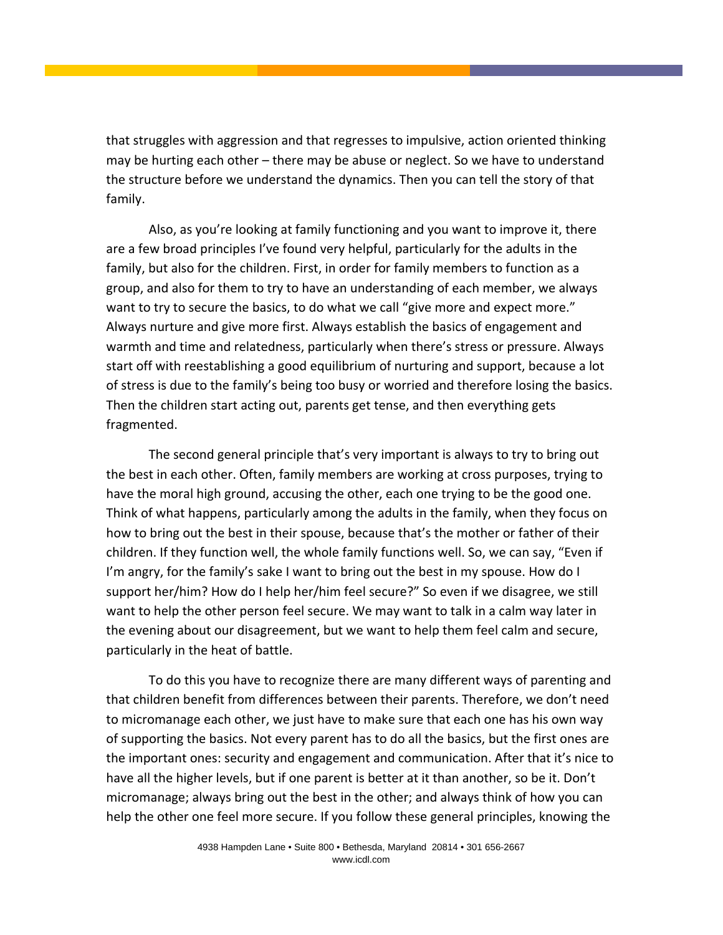that struggles with aggression and that regresses to impulsive, action oriented thinking may be hurting each other – there may be abuse or neglect. So we have to understand the structure before we understand the dynamics. Then you can tell the story of that family.

Also, as you're looking at family functioning and you want to improve it, there are a few broad principles I've found very helpful, particularly for the adults in the family, but also for the children. First, in order for family members to function as a group, and also for them to try to have an understanding of each member, we always want to try to secure the basics, to do what we call "give more and expect more." Always nurture and give more first. Always establish the basics of engagement and warmth and time and relatedness, particularly when there's stress or pressure. Always start off with reestablishing a good equilibrium of nurturing and support, because a lot of stress is due to the family's being too busy or worried and therefore losing the basics. Then the children start acting out, parents get tense, and then everything gets fragmented.

The second general principle that's very important is always to try to bring out the best in each other. Often, family members are working at cross purposes, trying to have the moral high ground, accusing the other, each one trying to be the good one. Think of what happens, particularly among the adults in the family, when they focus on how to bring out the best in their spouse, because that's the mother or father of their children. If they function well, the whole family functions well. So, we can say, "Even if I'm angry, for the family's sake I want to bring out the best in my spouse. How do I support her/him? How do I help her/him feel secure?" So even if we disagree, we still want to help the other person feel secure. We may want to talk in a calm way later in the evening about our disagreement, but we want to help them feel calm and secure, particularly in the heat of battle.

To do this you have to recognize there are many different ways of parenting and that children benefit from differences between their parents. Therefore, we don't need to micromanage each other, we just have to make sure that each one has his own way of supporting the basics. Not every parent has to do all the basics, but the first ones are the important ones: security and engagement and communication. After that it's nice to have all the higher levels, but if one parent is better at it than another, so be it. Don't micromanage; always bring out the best in the other; and always think of how you can help the other one feel more secure. If you follow these general principles, knowing the